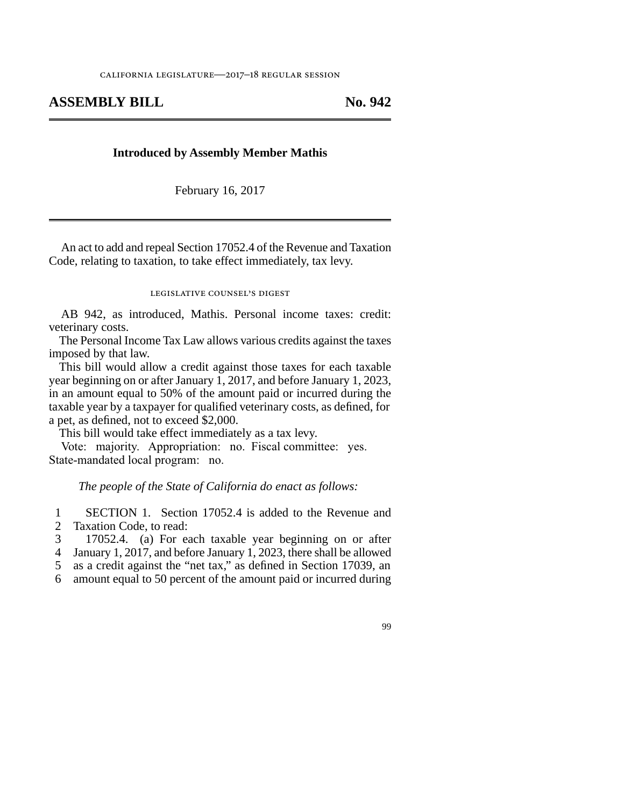## **ASSEMBLY BILL No. 942**

## **Introduced by Assembly Member Mathis**

February 16, 2017

An act to add and repeal Section 17052.4 of the Revenue and Taxation Code, relating to taxation, to take effect immediately, tax levy.

## legislative counsel's digest

AB 942, as introduced, Mathis. Personal income taxes: credit: veterinary costs.

The Personal Income Tax Law allows various credits against the taxes imposed by that law.

This bill would allow a credit against those taxes for each taxable year beginning on or after January 1, 2017, and before January 1, 2023, in an amount equal to 50% of the amount paid or incurred during the taxable year by a taxpayer for qualified veterinary costs, as defined, for a pet, as defined, not to exceed \$2,000.

This bill would take effect immediately as a tax levy.

Vote: majority. Appropriation: no. Fiscal committee: yes. State-mandated local program: no.

*The people of the State of California do enact as follows:*

1 SECTION 1. Section 17052.4 is added to the Revenue and 2 Taxation Code, to read:

3 17052.4. (a) For each taxable year beginning on or after

4 January 1, 2017, and before January 1, 2023, there shall be allowed

5 as a credit against the "net tax," as defined in Section 17039, an

line 6 amount equal to 50 percent of the amount paid or incurred during

99